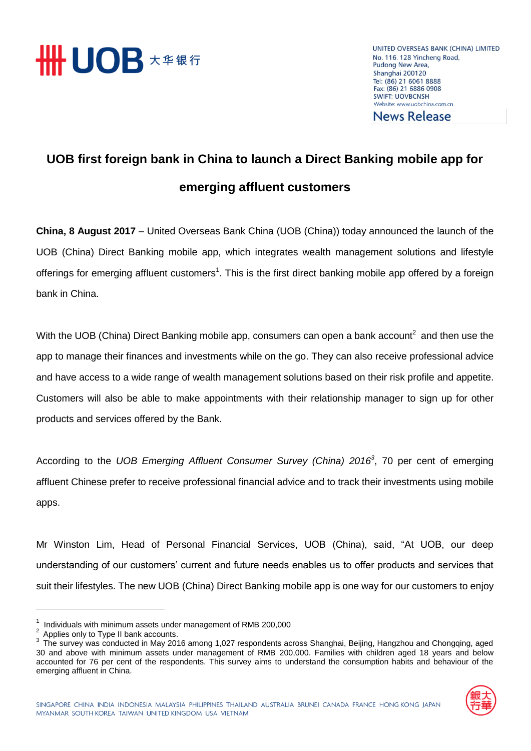

UNITED OVERSEAS BANK (CHINA) LIMITED No. 116, 128 Yincheng Road, Pudong New Area, Shanghai 200120 Tel: (86) 21 6061 8888 Fax: (86) 21 6886 0908 **SWIFT: UOVBCNSH** Website: www.uobchina.com.cn **News Release** 

## **UOB first foreign bank in China to launch a Direct Banking mobile app for emerging affluent customers**

**China, 8 August 2017** – United Overseas Bank China (UOB (China)) today announced the launch of the UOB (China) Direct Banking mobile app, which integrates wealth management solutions and lifestyle offerings for emerging affluent customers<sup>1</sup>. This is the first direct banking mobile app offered by a foreign bank in China.

With the UOB (China) Direct Banking mobile app, consumers can open a bank account<sup>2</sup> and then use the app to manage their finances and investments while on the go. They can also receive professional advice and have access to a wide range of wealth management solutions based on their risk profile and appetite. Customers will also be able to make appointments with their relationship manager to sign up for other products and services offered by the Bank.

According to the *UOB Emerging Affluent Consumer Survey (China) 2016<sup>3</sup>* , 70 per cent of emerging affluent Chinese prefer to receive professional financial advice and to track their investments using mobile apps.

Mr Winston Lim, Head of Personal Financial Services, UOB (China), said, "At UOB, our deep understanding of our customers' current and future needs enables us to offer products and services that suit their lifestyles. The new UOB (China) Direct Banking mobile app is one way for our customers to enjoy

<sup>&</sup>lt;sup>3</sup> The survey was conducted in May 2016 among 1,027 respondents across Shanghai, Beijing, Hangzhou and Chongqing, aged 30 and above with minimum assets under management of RMB 200,000. Families with children aged 18 years and below accounted for 76 per cent of the respondents. This survey aims to understand the consumption habits and behaviour of the emerging affluent in China.



<sup>1</sup> Individuals with minimum assets under management of RMB 200,000

 $2$  Applies only to Type II bank accounts.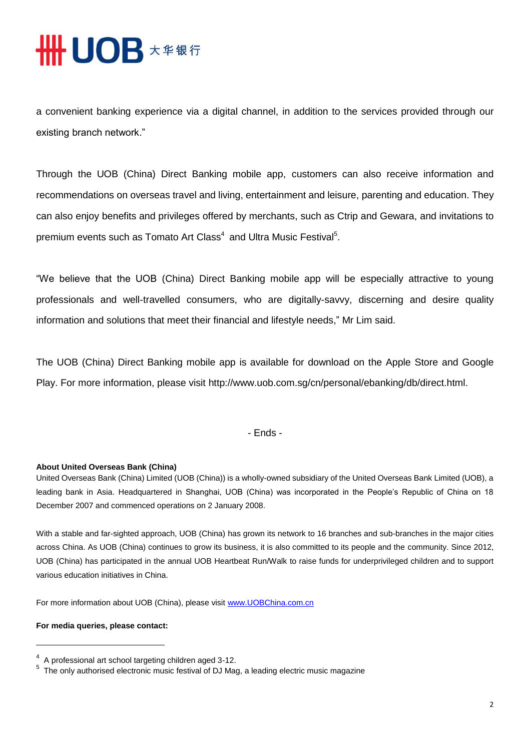## **HHUOB \*\*\*\***

a convenient banking experience via a digital channel, in addition to the services provided through our existing branch network."

Through the UOB (China) Direct Banking mobile app, customers can also receive information and recommendations on overseas travel and living, entertainment and leisure, parenting and education. They can also enjoy benefits and privileges offered by merchants, such as Ctrip and Gewara, and invitations to premium events such as Tomato Art Class $^4\,$  and Ultra Music Festival $^5\!$ .

"We believe that the UOB (China) Direct Banking mobile app will be especially attractive to young professionals and well-travelled consumers, who are digitally-savvy, discerning and desire quality information and solutions that meet their financial and lifestyle needs," Mr Lim said.

The UOB (China) Direct Banking mobile app is available for download on the Apple Store and Google Play. For more information, please visit [http://www.uob.com.sg/cn/personal/ebanking/db/direct.html.](http://www.uob.com.sg/cn/personal/ebanking/db/direct.html)

- Ends -

## **About United Overseas Bank (China)**

United Overseas Bank (China) Limited (UOB (China)) is a wholly-owned subsidiary of the United Overseas Bank Limited (UOB), a leading bank in Asia. Headquartered in Shanghai, UOB (China) was incorporated in the People's Republic of China on 18 December 2007 and commenced operations on 2 January 2008.

With a stable and far-sighted approach, UOB (China) has grown its network to 16 branches and sub-branches in the major cities across China. As UOB (China) continues to grow its business, it is also committed to its people and the community. Since 2012, UOB (China) has participated in the annual UOB Heartbeat Run/Walk to raise funds for underprivileged children and to support various education initiatives in China.

For more information about UOB (China), please visit [www.UOBChina.com.cn](http://www.uobchina.com.cn/)

## **For media queries, please contact:**

 $\overline{a}$ 

 $4$  A professional art school targeting children aged 3-12.

<sup>&</sup>lt;sup>5</sup> The only authorised electronic music festival of DJ Mag, a leading electric music magazine